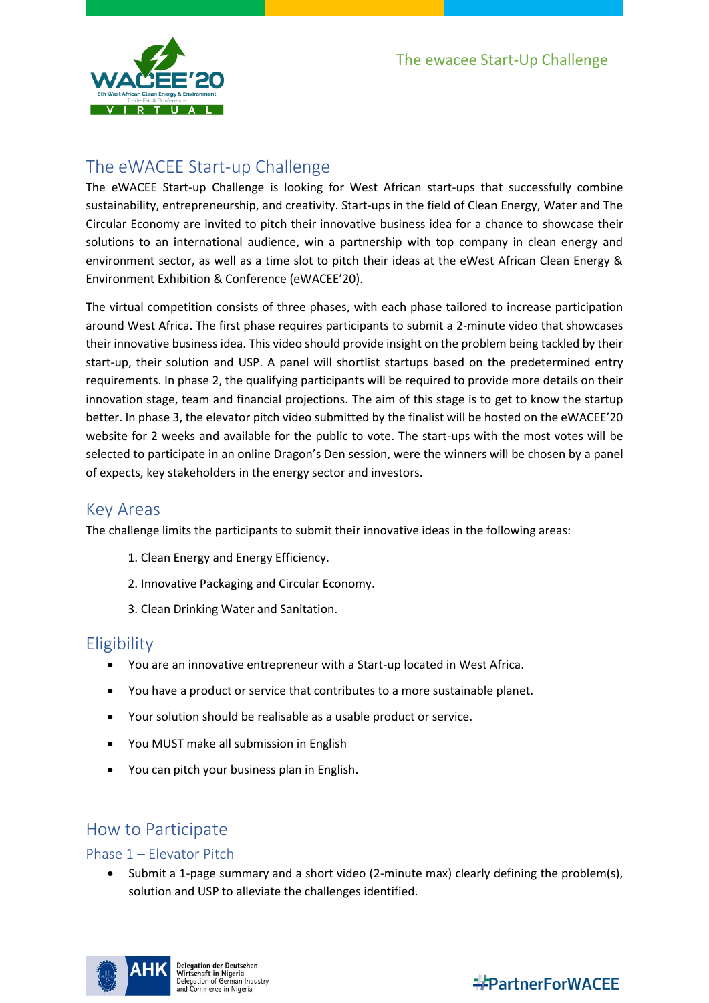

# The eWACEE Start-up Challenge

The eWACEE Start-up Challenge is looking for West African start-ups that successfully combine sustainability, entrepreneurship, and creativity. Start-ups in the field of Clean Energy, Water and The Circular Economy are invited to pitch their innovative business idea for a chance to showcase their solutions to an international audience, win a partnership with top company in clean energy and environment sector, as well as a time slot to pitch their ideas at the eWest African Clean Energy & Environment Exhibition & Conference (eWACEE'20).

The virtual competition consists of three phases, with each phase tailored to increase participation around West Africa. The first phase requires participants to submit a 2-minute video that showcases their innovative business idea. This video should provide insight on the problem being tackled by their start-up, their solution and USP. A panel will shortlist startups based on the predetermined entry requirements. In phase 2, the qualifying participants will be required to provide more details on their innovation stage, team and financial projections. The aim of this stage is to get to know the startup better. In phase 3, the elevator pitch video submitted by the finalist will be hosted on the eWACEE'20 website for 2 weeks and available for the public to vote. The start-ups with the most votes will be selected to participate in an online Dragon's Den session, were the winners will be chosen by a panel of expects, key stakeholders in the energy sector and investors.

# Key Areas

The challenge limits the participants to submit their innovative ideas in the following areas:

- 1. Clean Energy and Energy Efficiency.
- 2. Innovative Packaging and Circular Economy.
- 3. Clean Drinking Water and Sanitation.

## **Eligibility**

- You are an innovative entrepreneur with a Start-up located in West Africa.
- You have a product or service that contributes to a more sustainable planet.
- Your solution should be realisable as a usable product or service.
- You MUST make all submission in English
- You can pitch your business plan in English.

# How to Participate

### Phase 1 – Elevator Pitch

• Submit a 1-page summary and a short video (2-minute max) clearly defining the problem(s), solution and USP to alleviate the challenges identified.